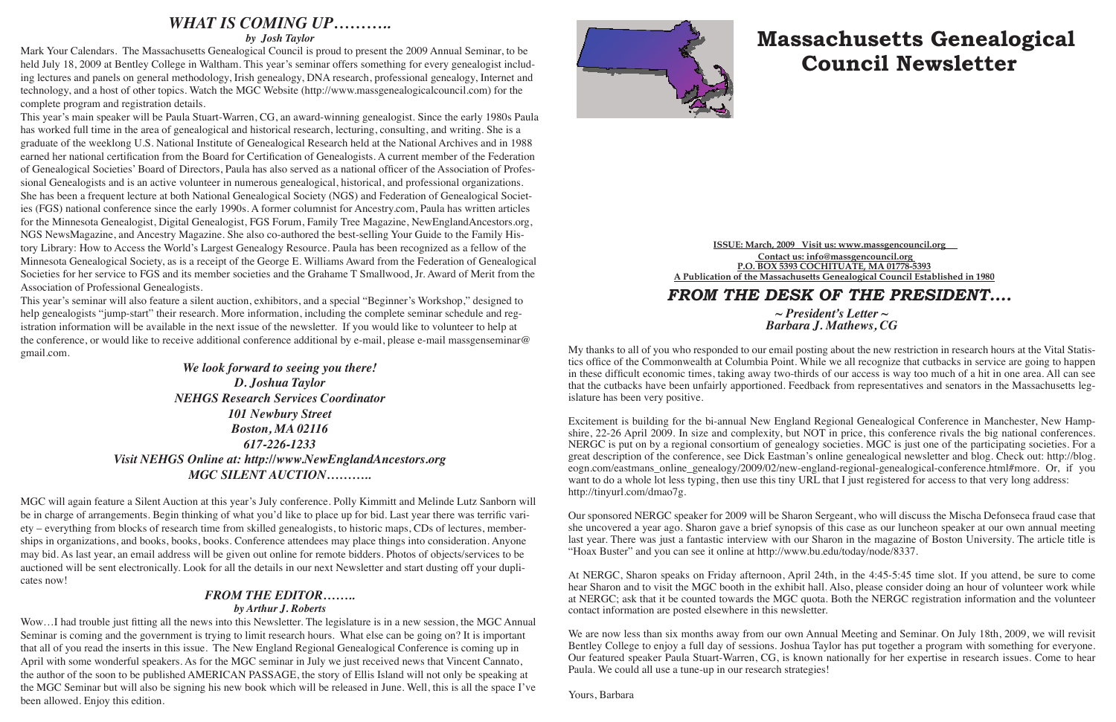# **Massachusetts Genealogical Council Newsletter**

**ISSUE: March, 2009\_ Visit us: www.massgencouncil.org\_\_ Contact us: info@massgencouncil.org P.O. BOX 5393 COCHITUATE, MA 01778-5393 A Publication of the Massachusetts Genealogical Council Established in 1980**

## *FROM THE DESK OF THE PRESIDENT.... ~ President's Letter ~*

*Barbara J. Mathews, CG*

My thanks to all of you who responded to our email posting about the new restriction in research hours at the Vital Statistics office of the Commonwealth at Columbia Point. While we all recognize that cutbacks in service are going to happen in these difficult economic times, taking away two-thirds of our access is way too much of a hit in one area. All can see that the cutbacks have been unfairly apportioned. Feedback from representatives and senators in the Massachusetts legislature has been very positive.

Excitement is building for the bi-annual New England Regional Genealogical Conference in Manchester, New Hampshire, 22-26 April 2009. In size and complexity, but NOT in price, this conference rivals the big national conferences. NERGC is put on by a regional consortium of genealogy societies. MGC is just one of the participating societies. For a great description of the conference, see Dick Eastman's online genealogical newsletter and blog. Check out: http://blog. eogn.com/eastmans\_online\_genealogy/2009/02/new-england-regional-genealogical-conference.html#more. Or, if you want to do a whole lot less typing, then use this tiny URL that I just registered for access to that very long address: http://tinyurl.com/dmao7g.

We are now less than six months away from our own Annual Meeting and Seminar. On July 18th, 2009, we will revisit Bentley College to enjoy a full day of sessions. Joshua Taylor has put together a program with something for everyone. Our featured speaker Paula Stuart-Warren, CG, is known nationally for her expertise in research issues. Come to hear Paula. We could all use a tune-up in our research strategies!

Our sponsored NERGC speaker for 2009 will be Sharon Sergeant, who will discuss the Mischa Defonseca fraud case that she uncovered a year ago. Sharon gave a brief synopsis of this case as our luncheon speaker at our own annual meeting last year. There was just a fantastic interview with our Sharon in the magazine of Boston University. The article title is "Hoax Buster" and you can see it online at http://www.bu.edu/today/node/8337.

At NERGC, Sharon speaks on Friday afternoon, April 24th, in the 4:45-5:45 time slot. If you attend, be sure to come hear Sharon and to visit the MGC booth in the exhibit hall. Also, please consider doing an hour of volunteer work while at NERGC; ask that it be counted towards the MGC quota. Both the NERGC registration information and the volunteer contact information are posted elsewhere in this newsletter.

Yours, Barbara

### *WHAT IS COMING UP………..*

*by Josh Taylor*

Mark Your Calendars. The Massachusetts Genealogical Council is proud to present the 2009 Annual Seminar, to be held July 18, 2009 at Bentley College in Waltham. This year's seminar offers something for every genealogist including lectures and panels on general methodology, Irish genealogy, DNA research, professional genealogy, Internet and technology, and a host of other topics. Watch the MGC Website (http://www.massgenealogicalcouncil.com) for the complete program and registration details.

This year's main speaker will be Paula Stuart-Warren, CG, an award-winning genealogist. Since the early 1980s Paula has worked full time in the area of genealogical and historical research, lecturing, consulting, and writing. She is a graduate of the weeklong U.S. National Institute of Genealogical Research held at the National Archives and in 1988 earned her national certification from the Board for Certification of Genealogists. A current member of the Federation of Genealogical Societies' Board of Directors, Paula has also served as a national officer of the Association of Professional Genealogists and is an active volunteer in numerous genealogical, historical, and professional organizations. She has been a frequent lecture at both National Genealogical Society (NGS) and Federation of Genealogical Societies (FGS) national conference since the early 1990s. A former columnist for Ancestry.com, Paula has written articles for the Minnesota Genealogist, Digital Genealogist, FGS Forum, Family Tree Magazine, NewEnglandAncestors.org, NGS NewsMagazine, and Ancestry Magazine. She also co-authored the best-selling Your Guide to the Family History Library: How to Access the World's Largest Genealogy Resource. Paula has been recognized as a fellow of the Minnesota Genealogical Society, as is a receipt of the George E. Williams Award from the Federation of Genealogical Societies for her service to FGS and its member societies and the Grahame T Smallwood, Jr. Award of Merit from the Association of Professional Genealogists.

This year's seminar will also feature a silent auction, exhibitors, and a special "Beginner's Workshop," designed to help genealogists "jump-start" their research. More information, including the complete seminar schedule and registration information will be available in the next issue of the newsletter. If you would like to volunteer to help at the conference, or would like to receive additional conference additional by e-mail, please e-mail massgenseminar@ gmail.com.

#### *We look forward to seeing you there! D. Joshua Taylor NEHGS Research Services Coordinator 101 Newbury Street Boston, MA 02116 617-226-1233 Visit NEHGS Online at: http://www.NewEnglandAncestors.org MGC SILENT AUCTION………..*

MGC will again feature a Silent Auction at this year's July conference. Polly Kimmitt and Melinde Lutz Sanborn will be in charge of arrangements. Begin thinking of what you'd like to place up for bid. Last year there was terrific variety – everything from blocks of research time from skilled genealogists, to historic maps, CDs of lectures, memberships in organizations, and books, books, books. Conference attendees may place things into consideration. Anyone may bid. As last year, an email address will be given out online for remote bidders. Photos of objects/services to be auctioned will be sent electronically. Look for all the details in our next Newsletter and start dusting off your duplicates now!

#### *FROM THE EDITOR……..*

#### *by Arthur J. Roberts*

Wow…I had trouble just fitting all the news into this Newsletter. The legislature is in a new session, the MGC Annual Seminar is coming and the government is trying to limit research hours. What else can be going on? It is important that all of you read the inserts in this issue. The New England Regional Genealogical Conference is coming up in April with some wonderful speakers. As for the MGC seminar in July we just received news that Vincent Cannato, the author of the soon to be published AMERICAN PASSAGE, the story of Ellis Island will not only be speaking at the MGC Seminar but will also be signing his new book which will be released in June. Well, this is all the space I've been allowed. Enjoy this edition.